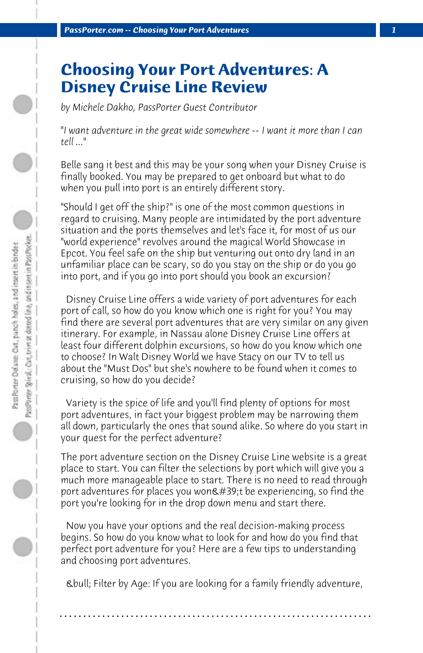## **Choosing Your Port Adventures: A Disney Cruise Line Review**

*by Michele Dakho, PassPorter Guest Contributor*

*"I want adventure in the great wide somewhere -- I want it more than I can tell ..."*

Belle sang it best and this may be your song when your Disney Cruise is finally booked. You may be prepared to get onboard but what to do when you pull into port is an entirely different story.

"Should I get off the ship?" is one of the most common questions in regard to cruising. Many people are intimidated by the port adventure situation and the ports themselves and let's face it, for most of us our "world experience" revolves around the magical World Showcase in Epcot. You feel safe on the ship but venturing out onto dry land in an unfamiliar place can be scary, so do you stay on the ship or do you go into port, and if you go into port should you book an excursion?

 Disney Cruise Line offers a wide variety of port adventures for each port of call, so how do you know which one is right for you? You may find there are several port adventures that are very similar on any given itinerary. For example, in Nassau alone Disney Cruise Line offers at least four different dolphin excursions, so how do you know which one to choose? In Walt Disney World we have Stacy on our TV to tell us about the "Must Dos" but she's nowhere to be found when it comes to cruising, so how do you decide?

 Variety is the spice of life and you'll find plenty of options for most port adventures, in fact your biggest problem may be narrowing them all down, particularly the ones that sound alike. So where do you start in your quest for the perfect adventure?

The port adventure section on the Disney Cruise Line website is a great place to start. You can filter the selections by port which will give you a much more manageable place to start. There is no need to read through port adventures for places you won $\&\#39$ ;t be experiencing, so find the port you're looking for in the drop down menu and start there.

 Now you have your options and the real decision-making process begins. So how do you know what to look for and how do you find that perfect port adventure for you? Here are a few tips to understanding and choosing port adventures.

 • Filter by Age: If you are looking for a family friendly adventure,

**. . . . . . . . . . . . . . . . . . . . . . . . . . . . . . . . . . . . . . . . . . . . . . . . . . . . . . . . . . . . . . . . . .**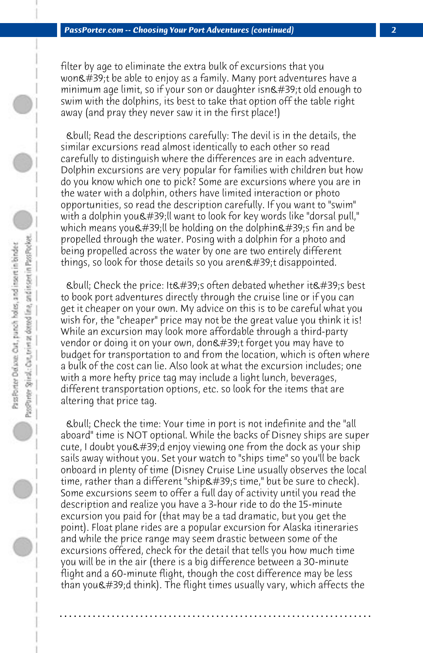filter by age to eliminate the extra bulk of excursions that you won't be able to enjoy as a family. Many port adventures have a minimum age limit, so if your son or daughter isn $\&\#39$ ;t old enough to swim with the dolphins, its best to take that option off the table right away (and pray they never saw it in the first place!)

 • Read the descriptions carefully: The devil is in the details, the similar excursions read almost identically to each other so read carefully to distinguish where the differences are in each adventure. Dolphin excursions are very popular for families with children but how do you know which one to pick? Some are excursions where you are in the water with a dolphin, others have limited interaction or photo opportunities, so read the description carefully. If you want to "swim" with a dolphin you'll want to look for key words like "dorsal pull," which means you'll be holding on the dolphin's fin and be propelled through the water. Posing with a dolphin for a photo and being propelled across the water by one are two entirely different things, so look for those details so you aren $\&$ #39;t disappointed.

Ebull; Check the price: It  $E#39$ ; often debated whether it  $E#39$ ; s best to book port adventures directly through the cruise line or if you can get it cheaper on your own. My advice on this is to be careful what you wish for, the "cheaper" price may not be the great value you think it is! While an excursion may look more affordable through a third-party vendor or doing it on your own, don't forget you may have to budget for transportation to and from the location, which is often where a bulk of the cost can lie. Also look at what the excursion includes; one with a more hefty price tag may include a light lunch, beverages, different transportation options, etc. so look for the items that are altering that price tag.

 • Check the time: Your time in port is not indefinite and the "all aboard" time is NOT optional. While the backs of Disney ships are super cute, I doubt you  $\&\#39$ ; denjoy viewing one from the dock as your ship sails away without you. Set your watch to "ships time" so you'll be back onboard in plenty of time (Disney Cruise Line usually observes the local time, rather than a different "ship's time," but be sure to check). Some excursions seem to offer a full day of activity until you read the description and realize you have a 3-hour ride to do the 15-minute excursion you paid for (that may be a tad dramatic, but you get the point). Float plane rides are a popular excursion for Alaska itineraries and while the price range may seem drastic between some of the excursions offered, check for the detail that tells you how much time you will be in the air (there is a big difference between a 30-minute flight and a 60-minute flight, though the cost difference may be less than you $\&\#39$ ;d think). The flight times usually vary, which affects the

**. . . . . . . . . . . . . . . . . . . . . . . . . . . . . . . . . . . . . . . . . . . . . . . . . . . . . . . . . . . . . . . . . .**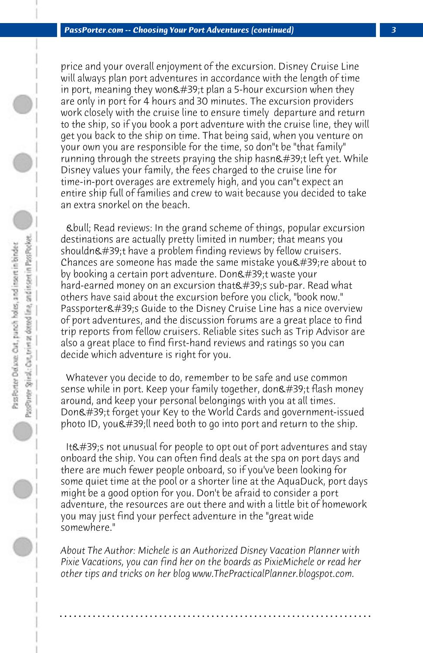price and your overall enjoyment of the excursion. Disney Cruise Line will always plan port adventures in accordance with the length of time in port, meaning they won $\&\#39$ ; t plan a 5-hour excursion when they are only in port for 4 hours and 30 minutes. The excursion providers work closely with the cruise line to ensure timely departure and return to the ship, so if you book a port adventure with the cruise line, they will get you back to the ship on time. That being said, when you venture on your own you are responsible for the time, so don"t be "that family" running through the streets praying the ship hasn't left yet. While Disney values your family, the fees charged to the cruise line for time-in-port overages are extremely high, and you can"t expect an entire ship full of families and crew to wait because you decided to take an extra snorkel on the beach.

 • Read reviews: In the grand scheme of things, popular excursion destinations are actually pretty limited in number; that means you shouldn't have a problem finding reviews by fellow cruisers. Chances are someone has made the same mistake you  $\&\#39$ ; re about to by booking a certain port adventure. Don't waste your hard-earned money on an excursion that's sub-par. Read what others have said about the excursion before you click, "book now." Passporter' Guide to the Disney Cruise Line has a nice overview of port adventures, and the discussion forums are a great place to find trip reports from fellow cruisers. Reliable sites such as Trip Advisor are also a great place to find first-hand reviews and ratings so you can decide which adventure is right for you.

 Whatever you decide to do, remember to be safe and use common sense while in port. Keep your family together, don't flash money around, and keep your personal belongings with you at all times. Don't forget your Key to the World Cards and government-issued  $p$  photo ID, you  $\&$  #39; Il need both to go into port and return to the ship.

It  $\&\#39$ ; not unusual for people to opt out of port adventures and stay onboard the ship. You can often find deals at the spa on port days and there are much fewer people onboard, so if you've been looking for some quiet time at the pool or a shorter line at the AquaDuck, port days might be a good option for you. Don't be afraid to consider a port adventure, the resources are out there and with a little bit of homework you may just find your perfect adventure in the "great wide somewhere."

*About The Author: Michele is an Authorized Disney Vacation Planner with Pixie Vacations, you can find her on the boards as PixieMichele or read her other tips and tricks on her blog www.ThePracticalPlanner.blogspot.com.*

**. . . . . . . . . . . . . . . . . . . . . . . . . . . . . . . . . . . . . . . . . . . . . . . . . . . . . . . . . . . . . . . . . .**